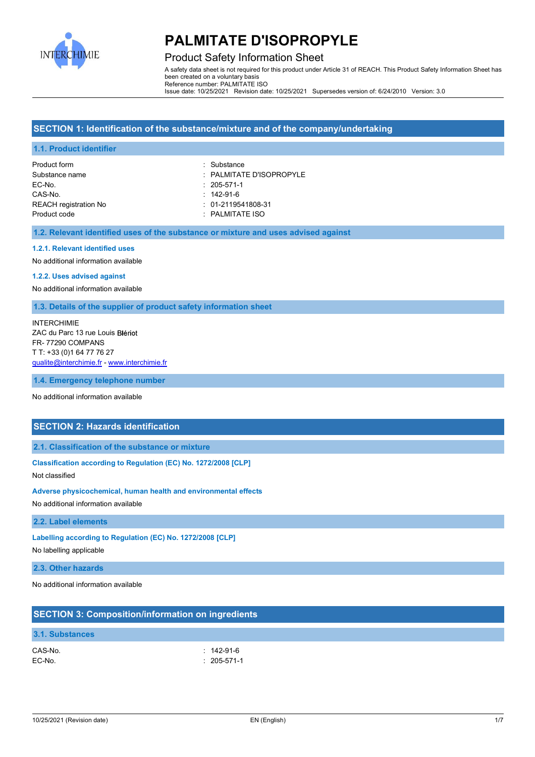

# Product Safety Information Sheet

A safety data sheet is not required for this product under Article 31 of REACH. This Product Safety Information Sheet has been created on a voluntary basis Reference number: PALMITATE ISO Issue date: 10/25/2021 Revision date: 10/25/2021 Supersedes version of: 6/24/2010 Version: 3.0

# **SECTION 1: Identification of the substance/mixture and of the company/undertaking**

### **1.1. Product identifier**

Product form **: Substance** EC-No. : 205-571-1 CAS-No. : 142-91-6 REACH registration No **interest and the COV** 101-2119541808-31 Product code : PALMITATE ISO

Substance name  $\qquad \qquad$ : PALMITATE D'ISOPROPYLE

### **1.2. Relevant identified uses of the substance or mixture and uses advised against**

### **1.2.1. Relevant identified uses**

No additional information available

#### **1.2.2. Uses advised against**

No additional information available

### **1.3. Details of the supplier of product safety information sheet**

INTERCHIMIE ZAC du Parc 13 rue Louis FR- 77290 COMPANS T T: +33 (0)1 64 77 76 27 qualite@interchimie.fr - www.interchimie.fr

**1.4. Emergency telephone number**

No additional information available

### **SECTION 2: Hazards identification**

**2.1. Classification of the substance or mixture**

**Classification according to Regulation (EC) No. 1272/2008 [CLP]**

Not classified

**Adverse physicochemical, human health and environmental effects**

No additional information available

### **2.2. Label elements**

**Labelling according to Regulation (EC) No. 1272/2008 [CLP]**

No labelling applicable

## **2.3. Other hazards**

No additional information available

|                        | <b>SECTION 3: Composition/information on ingredients</b> |  |
|------------------------|----------------------------------------------------------|--|
| <b>3.1. Substances</b> |                                                          |  |
| CAS-No.<br>EC-No.      | $: 142 - 91 - 6$<br>$: 205 - 571 - 1$                    |  |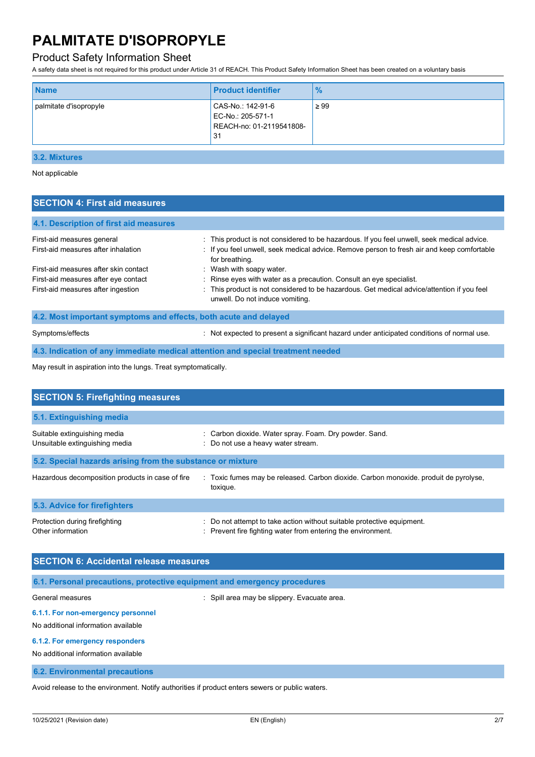# Product Safety Information Sheet

A safety data sheet is not required for this product under Article 31 of REACH. This Product Safety Information Sheet has been created on a voluntary basis

| CAS-No.: 142-91-6<br>$\geq 99$<br>palmitate d'isopropyle<br>EC-No.: 205-571-1<br>REACH-no: 01-2119541808-<br>31 | <b>Name</b> | <b>Product identifier</b> | $\frac{9}{6}$ |
|-----------------------------------------------------------------------------------------------------------------|-------------|---------------------------|---------------|
|                                                                                                                 |             |                           |               |

# **3.2. Mixtures**

Not applicable

| <b>SECTION 4: First aid measures</b>                             |                                                                                                                               |
|------------------------------------------------------------------|-------------------------------------------------------------------------------------------------------------------------------|
| 4.1. Description of first aid measures                           |                                                                                                                               |
| First-aid measures general                                       | : This product is not considered to be hazardous. If you feel unwell, seek medical advice.                                    |
| First-aid measures after inhalation                              | : If you feel unwell, seek medical advice. Remove person to fresh air and keep comfortable<br>for breathing.                  |
| First-aid measures after skin contact                            | : Wash with soapy water.                                                                                                      |
| First-aid measures after eye contact                             | : Rinse eyes with water as a precaution. Consult an eye specialist.                                                           |
| First-aid measures after ingestion                               | : This product is not considered to be hazardous. Get medical advice/attention if you feel<br>unwell. Do not induce vomiting. |
| 4.2. Most important symptoms and effects, both acute and delayed |                                                                                                                               |
|                                                                  |                                                                                                                               |

Symptoms/effects **intervalse and the symptoms/effects** in the symptoms/effects in the symptoms/effects of normal use.

**4.3. Indication of any immediate medical attention and special treatment needed**

May result in aspiration into the lungs. Treat symptomatically.

| <b>SECTION 5: Firefighting measures</b>                        |                                                                                                                                      |
|----------------------------------------------------------------|--------------------------------------------------------------------------------------------------------------------------------------|
| 5.1. Extinguishing media                                       |                                                                                                                                      |
| Suitable extinguishing media<br>Unsuitable extinguishing media | : Carbon dioxide. Water spray. Foam. Dry powder. Sand.<br>: Do not use a heavy water stream.                                         |
| 5.2. Special hazards arising from the substance or mixture     |                                                                                                                                      |
| Hazardous decomposition products in case of fire               | : Toxic fumes may be released. Carbon dioxide. Carbon monoxide, produit de pyrolyse,<br>toxique.                                     |
| 5.3. Advice for firefighters                                   |                                                                                                                                      |
| Protection during firefighting<br>Other information            | Do not attempt to take action without suitable protective equipment.<br>: Prevent fire fighting water from entering the environment. |

| <b>SECTION 6: Accidental release measures</b>                            |                                              |  |
|--------------------------------------------------------------------------|----------------------------------------------|--|
| 6.1. Personal precautions, protective equipment and emergency procedures |                                              |  |
| General measures                                                         | : Spill area may be slippery. Evacuate area. |  |

# **6.1.1. For non-emergency personnel**

No additional information available

### **6.1.2. For emergency responders**

No additional information available

**6.2. Environmental precautions**

Avoid release to the environment. Notify authorities if product enters sewers or public waters.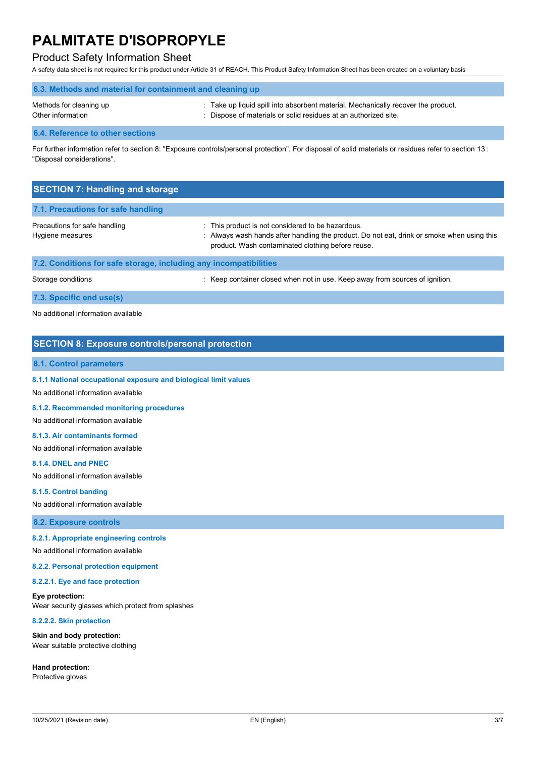## Product Safety Information Sheet

A safety data sheet is not required for this product under Article 31 of REACH. This Product Safety Information Sheet has been created on a voluntary basis

| 6.3. Methods and material for containment and cleaning up |                                                                                 |  |
|-----------------------------------------------------------|---------------------------------------------------------------------------------|--|
| Methods for cleaning up                                   | Take up liquid spill into absorbent material. Mechanically recover the product. |  |
| Other information                                         | : Dispose of materials or solid residues at an authorized site.                 |  |

### **6.4. Reference to other sections**

For further information refer to section 8: "Exposure controls/personal protection". For disposal of solid materials or residues refer to section 13 : "Disposal considerations".

| <b>SECTION 7: Handling and storage</b>                            |                                                                                                                                                                                                    |
|-------------------------------------------------------------------|----------------------------------------------------------------------------------------------------------------------------------------------------------------------------------------------------|
| 7.1. Precautions for safe handling                                |                                                                                                                                                                                                    |
| Precautions for safe handling<br>Hygiene measures                 | This product is not considered to be hazardous.<br>: Always wash hands after handling the product. Do not eat, drink or smoke when using this<br>product. Wash contaminated clothing before reuse. |
| 7.2. Conditions for safe storage, including any incompatibilities |                                                                                                                                                                                                    |
| Storage conditions                                                | : Keep container closed when not in use. Keep away from sources of ignition.                                                                                                                       |

**7.3. Specific end use(s)**

No additional information available

# **SECTION 8: Exposure controls/personal protection**

### **8.1. Control parameters**

**8.1.1 National occupational exposure and biological limit values**

### No additional information available

**8.1.2. Recommended monitoring procedures**

No additional information available

#### **8.1.3. Air contaminants formed**

No additional information available

#### **8.1.4. DNEL and PNEC**

No additional information available

#### **8.1.5. Control banding**

No additional information available

### **8.2. Exposure controls**

### **8.2.1. Appropriate engineering controls**

No additional information available

### **8.2.2. Personal protection equipment**

**8.2.2.1. Eye and face protection**

#### **Eye protection:**

Wear security glasses which protect from splashes

### **8.2.2.2. Skin protection**

**Skin and body protection:** Wear suitable protective clothing

**Hand protection:** Protective gloves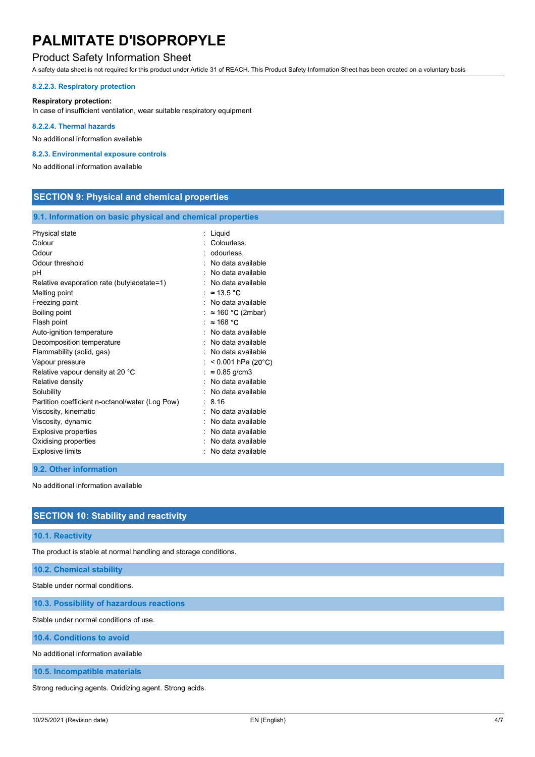## Product Safety Information Sheet

A safety data sheet is not required for this product under Article 31 of REACH. This Product Safety Information Sheet has been created on a voluntary basis

### **8.2.2.3. Respiratory protection**

### **Respiratory protection:**

In case of insufficient ventilation, wear suitable respiratory equipment

### **8.2.2.4. Thermal hazards**

No additional information available

### **8.2.3. Environmental exposure controls**

No additional information available

| <b>SECTION 9: Physical and chemical properties</b> |  |  |  |
|----------------------------------------------------|--|--|--|
|----------------------------------------------------|--|--|--|

### **9.1. Information on basic physical and chemical properties**

| Physical state<br>Colour<br>Odour<br>Odour threshold<br>рH<br>Relative evaporation rate (butylacetate=1)<br>Melting point<br>Freezing point<br>Boiling point<br>Flash point<br>Auto-ignition temperature<br>Decomposition temperature<br>Flammability (solid, gas)<br>Vapour pressure<br>Relative vapour density at 20 °C<br>Relative density<br>Solubility<br>Partition coefficient n-octanol/water (Log Pow)<br>Viscosity, kinematic<br>Viscosity, dynamic<br><b>Explosive properties</b> | : Liquid<br>Colourless.<br>odourless.<br>No data available<br>No data available<br>No data available<br>$\approx$ 13.5 °C<br>No data available<br>$\approx$ 160 °C (2mbar)<br>$\approx$ 168 °C<br>No data available<br>No data available<br>No data available<br>$< 0.001$ hPa (20°C)<br>$\approx 0.85$ g/cm3<br>No data available<br>No data available<br>: 8.16<br>No data available<br>No data available<br>: No data available |
|---------------------------------------------------------------------------------------------------------------------------------------------------------------------------------------------------------------------------------------------------------------------------------------------------------------------------------------------------------------------------------------------------------------------------------------------------------------------------------------------|------------------------------------------------------------------------------------------------------------------------------------------------------------------------------------------------------------------------------------------------------------------------------------------------------------------------------------------------------------------------------------------------------------------------------------|
| Oxidising properties<br><b>Explosive limits</b>                                                                                                                                                                                                                                                                                                                                                                                                                                             | No data available<br>No data available                                                                                                                                                                                                                                                                                                                                                                                             |
|                                                                                                                                                                                                                                                                                                                                                                                                                                                                                             |                                                                                                                                                                                                                                                                                                                                                                                                                                    |

### **9.2. Other information**

No additional information available

## **SECTION 10: Stability and reactivity**

### **10.1. Reactivity**

The product is stable at normal handling and storage conditions.

## **10.2. Chemical stability**

Stable under normal conditions.

**10.3. Possibility of hazardous reactions**

Stable under normal conditions of use.

**10.4. Conditions to avoid**

No additional information available

**10.5. Incompatible materials**

Strong reducing agents. Oxidizing agent. Strong acids.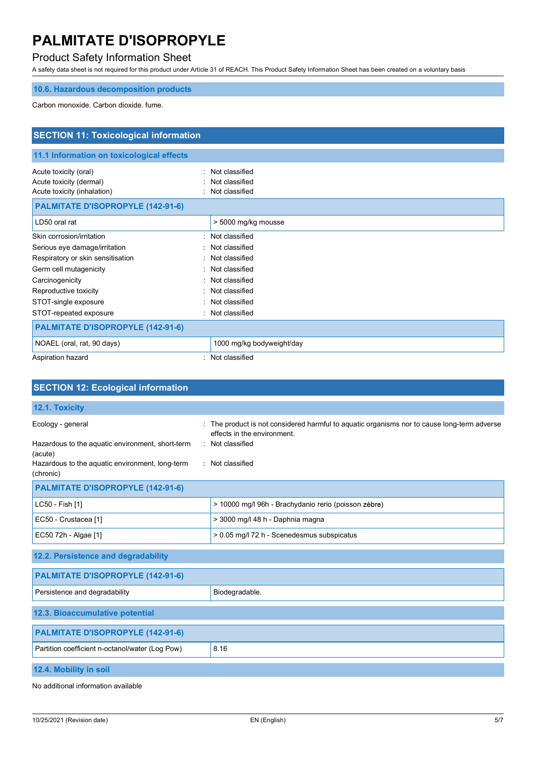# Product Safety Information Sheet

A safety data sheet is not required for this product under Article 31 of REACH. This Product Safety Information Sheet has been created on a voluntary basis

# **10.6. Hazardous decomposition products**

Carbon monoxide. Carbon dioxide. fume.

| <b>SECTION 11: Toxicological information</b>                                    |                                                                 |  |
|---------------------------------------------------------------------------------|-----------------------------------------------------------------|--|
| 11.1 Information on toxicological effects                                       |                                                                 |  |
| Acute toxicity (oral)<br>Acute toxicity (dermal)<br>Acute toxicity (inhalation) | Not classified<br>$\bullet$<br>Not classified<br>Not classified |  |
| <b>PALMITATE D'ISOPROPYLE (142-91-6)</b>                                        |                                                                 |  |
| LD50 oral rat                                                                   | > 5000 mg/kg mousse                                             |  |
| Skin corrosion/irritation                                                       | Not classified                                                  |  |
| Serious eye damage/irritation                                                   | Not classified                                                  |  |
| Respiratory or skin sensitisation                                               | Not classified                                                  |  |
| Germ cell mutagenicity                                                          | Not classified                                                  |  |
| Carcinogenicity                                                                 | Not classified                                                  |  |
| Reproductive toxicity                                                           | Not classified                                                  |  |
| STOT-single exposure                                                            | Not classified                                                  |  |
| STOT-repeated exposure                                                          | Not classified                                                  |  |
| <b>PALMITATE D'ISOPROPYLE (142-91-6)</b>                                        |                                                                 |  |
| NOAEL (oral, rat, 90 days)                                                      | 1000 mg/kg bodyweight/day                                       |  |
| Aspiration hazard                                                               | Not classified                                                  |  |

| <b>SECTION 12: Ecological information</b>                    |                                                                                                                          |
|--------------------------------------------------------------|--------------------------------------------------------------------------------------------------------------------------|
| 12.1. Toxicity                                               |                                                                                                                          |
| Ecology - general                                            | The product is not considered harmful to aquatic organisms nor to cause long-term adverse<br>effects in the environment. |
| Hazardous to the aquatic environment, short-term<br>(acute)  | : Not classified                                                                                                         |
| Hazardous to the aquatic environment, long-term<br>(chronic) | : Not classified                                                                                                         |
| <b>PALMITATE D'ISOPROPYLE (142-91-6)</b>                     |                                                                                                                          |
| LC50 - Fish [1]                                              | > 10000 mg/l 96h - Brachydanio rerio (poisson zèbre)                                                                     |
| EC50 - Crustacea [1]                                         | > 3000 mg/l 48 h - Daphnia magna                                                                                         |
| EC50 72h - Algae [1]                                         | > 0.05 mg/l 72 h - Scenedesmus subspicatus                                                                               |
| 12.2. Persistence and degradability                          |                                                                                                                          |
| <b>PALMITATE D'ISOPROPYLE (142-91-6)</b>                     |                                                                                                                          |
| Persistence and degradability                                | Biodegradable.                                                                                                           |
| 12.3. Bioaccumulative potential                              |                                                                                                                          |
| <b>PALMITATE D'ISOPROPYLE (142-91-6)</b>                     |                                                                                                                          |
| Partition coefficient n-octanol/water (Log Pow)              | 8.16                                                                                                                     |
| 12.4. Mobility in soil                                       |                                                                                                                          |

No additional information available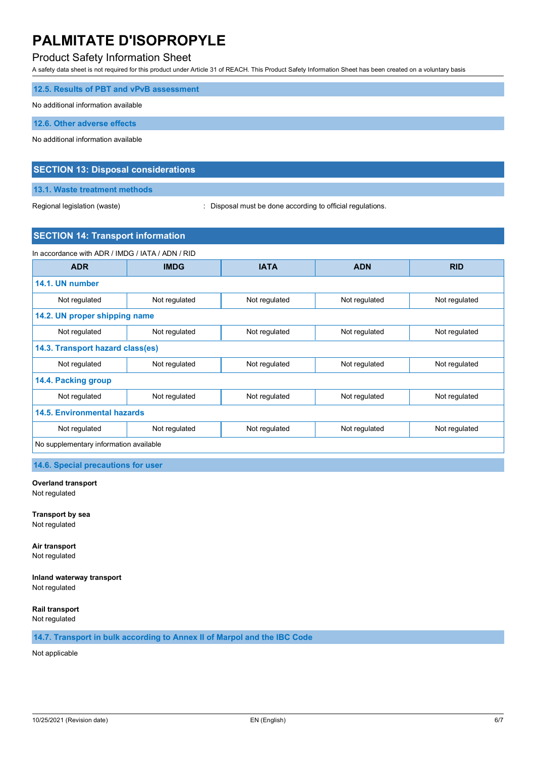# Product Safety Information Sheet

A safety data sheet is not required for this product under Article 31 of REACH. This Product Safety Information Sheet has been created on a voluntary basis

| 12.5. Results of PBT and vPvB assessment |
|------------------------------------------|
| No additional information available      |
| 12.6. Other adverse effects              |
| No additional information available      |

### **SECTION 13: Disposal considerations**

**13.1. Waste treatment methods**

Regional legislation (waste)  $\qquad \qquad$ : Disposal must be done according to official regulations.

## **SECTION 14: Transport information**

| In accordance with ADR / IMDG / IATA / ADN / RID |               |               |               |               |  |
|--------------------------------------------------|---------------|---------------|---------------|---------------|--|
| <b>ADR</b>                                       | <b>IMDG</b>   | <b>IATA</b>   | <b>ADN</b>    | <b>RID</b>    |  |
| 14.1. UN number                                  |               |               |               |               |  |
| Not regulated                                    | Not regulated | Not regulated | Not regulated | Not regulated |  |
| 14.2. UN proper shipping name                    |               |               |               |               |  |
| Not regulated                                    | Not regulated | Not regulated | Not regulated | Not regulated |  |
| 14.3. Transport hazard class(es)                 |               |               |               |               |  |
| Not regulated                                    | Not regulated | Not regulated | Not regulated | Not regulated |  |
| 14.4. Packing group                              |               |               |               |               |  |
| Not regulated                                    | Not regulated | Not regulated | Not regulated | Not regulated |  |
| <b>14.5. Environmental hazards</b>               |               |               |               |               |  |
| Not regulated                                    | Not regulated | Not regulated | Not regulated | Not regulated |  |
| No supplementary information available           |               |               |               |               |  |

**14.6. Special precautions for user**

# **Overland transport**

Not regulated

**Transport by sea** Not regulated

**Air transport** Not regulated

**Inland waterway transport** Not regulated

**Rail transport** Not regulated

**14.7. Transport in bulk according to Annex II of Marpol and the IBC Code**

Not applicable